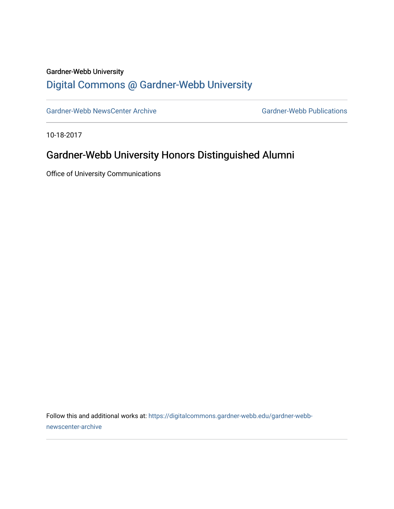#### Gardner-Webb University

## [Digital Commons @ Gardner-Webb University](https://digitalcommons.gardner-webb.edu/)

[Gardner-Webb NewsCenter Archive](https://digitalcommons.gardner-webb.edu/gardner-webb-newscenter-archive) Gardner-Webb Publications

10-18-2017

### Gardner-Webb University Honors Distinguished Alumni

Office of University Communications

Follow this and additional works at: [https://digitalcommons.gardner-webb.edu/gardner-webb](https://digitalcommons.gardner-webb.edu/gardner-webb-newscenter-archive?utm_source=digitalcommons.gardner-webb.edu%2Fgardner-webb-newscenter-archive%2F532&utm_medium=PDF&utm_campaign=PDFCoverPages)[newscenter-archive](https://digitalcommons.gardner-webb.edu/gardner-webb-newscenter-archive?utm_source=digitalcommons.gardner-webb.edu%2Fgardner-webb-newscenter-archive%2F532&utm_medium=PDF&utm_campaign=PDFCoverPages)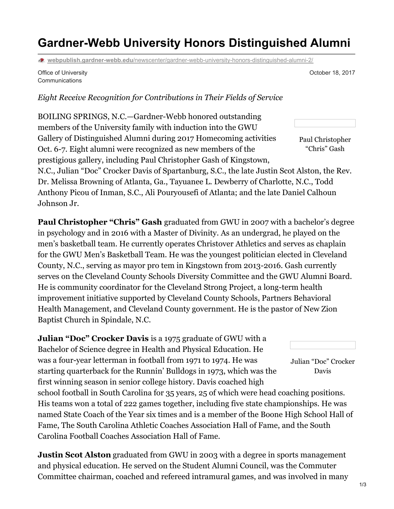# **Gardner-Webb University Honors Distinguished Alumni**

**webpublish.gardner-webb.edu**[/newscenter/gardner-webb-university-honors-distinguished-alumni-2/](https://webpublish.gardner-webb.edu/newscenter/gardner-webb-university-honors-distinguished-alumni-2/)

Office of University Communications

October 18, 2017

#### *Eight Receive Recognition for Contributions in Their Fields of Service*

BOILING SPRINGS, N.C.—Gardner-Webb honored outstanding members of the University family with induction into the GWU Gallery of Distinguished Alumni during 2017 Homecoming activities Oct. 6-7. Eight alumni were recognized as new members of the prestigious gallery, including Paul Christopher Gash of Kingstown,

Paul Christopher "Chris" Gash

N.C., Julian "Doc" Crocker Davis of Spartanburg, S.C., the late Justin Scot Alston, the Rev. Dr. Melissa Browning of Atlanta, Ga., Tayuanee L. Dewberry of Charlotte, N.C., Todd Anthony Picou of Inman, S.C., Ali Pouryousefi of Atlanta; and the late Daniel Calhoun Johnson Jr.

**Paul Christopher "Chris" Gash** graduated from GWU in 2007 with a bachelor's degree in psychology and in 2016 with a Master of Divinity. As an undergrad, he played on the men's basketball team. He currently operates Christover Athletics and serves as chaplain for the GWU Men's Basketball Team. He was the youngest politician elected in Cleveland County, N.C., serving as mayor pro tem in Kingstown from 2013-2016. Gash currently serves on the Cleveland County Schools Diversity Committee and the GWU Alumni Board. He is community coordinator for the Cleveland Strong Project, a long-term health improvement initiative supported by Cleveland County Schools, Partners Behavioral Health Management, and Cleveland County government. He is the pastor of New Zion Baptist Church in Spindale, N.C.

Julian "Doc" Crocker Davis **Julian "Doc" Crocker Davis** is a 1975 graduate of GWU with a Bachelor of Science degree in Health and Physical Education. He was a four-year letterman in football from 1971 to 1974. He was starting quarterback for the Runnin' Bulldogs in 1973, which was the first winning season in senior college history. Davis coached high school football in South Carolina for 35 years, 25 of which were head coaching positions. His teams won a total of 222 games together, including five state championships. He was named State Coach of the Year six times and is a member of the Boone High School Hall of Fame, The South Carolina Athletic Coaches Association Hall of Fame, and the South Carolina Football Coaches Association Hall of Fame.

**Justin Scot Alston** graduated from GWU in 2003 with a degree in sports management and physical education. He served on the Student Alumni Council, was the Commuter Committee chairman, coached and refereed intramural games, and was involved in many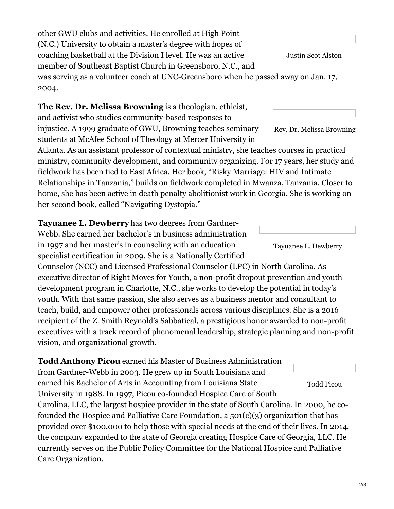other GWU clubs and activities. He enrolled at High Point (N.C.) University to obtain a master's degree with hopes of coaching basketball at the Division I level. He was an active member of Southeast Baptist Church in Greensboro, N.C., and was serving as a volunteer coach at UNC-Greensboro when he passed away on Jan. 17, 2004.

### **The Rev. Dr. Melissa Browning** is a theologian, ethicist,

and activist who studies community-based responses to injustice. A 1999 graduate of GWU, Browning teaches seminary students at McAfee School of Theology at Mercer University in

Atlanta. As an assistant professor of contextual ministry, she teaches courses in practical ministry, community development, and community organizing. For 17 years, her study and fieldwork has been tied to East Africa. Her book, "Risky Marriage: HIV and Intimate Relationships in Tanzania," builds on fieldwork completed in Mwanza, Tanzania. Closer to home, she has been active in death penalty abolitionist work in Georgia. She is working on her second book, called "Navigating Dystopia."

**Tayuanee L. Dewberry** has two degrees from Gardner-Webb. She earned her bachelor's in business administration in 1997 and her master's in counseling with an education specialist certification in 2009. She is a Nationally Certified

Counselor (NCC) and Licensed Professional Counselor (LPC) in North Carolina. As executive director of Right Moves for Youth, a non-profit dropout prevention and youth development program in Charlotte, N.C., she works to develop the potential in today's youth. With that same passion, she also serves as a business mentor and consultant to teach, build, and empower other professionals across various disciplines. She is a 2016 recipient of the Z. Smith Reynold's Sabbatical, a prestigious honor awarded to non-profit executives with a track record of phenomenal leadership, strategic planning and non-profit vision, and organizational growth.

Todd Picou **Todd Anthony Picou** earned his Master of Business Administration from Gardner-Webb in 2003. He grew up in South Louisiana and earned his Bachelor of Arts in Accounting from Louisiana State University in 1988. In 1997, Picou co-founded Hospice Care of South Carolina, LLC, the largest hospice provider in the state of South Carolina. In 2000, he cofounded the Hospice and Palliative Care Foundation, a  $501(c)(3)$  organization that has provided over \$100,000 to help those with special needs at the end of their lives. In 2014, the company expanded to the state of Georgia creating Hospice Care of Georgia, LLC. He currently serves on the Public Policy Committee for the National Hospice and Palliative Care Organization.

Justin Scot Alston

Rev. Dr. Melissa Browning